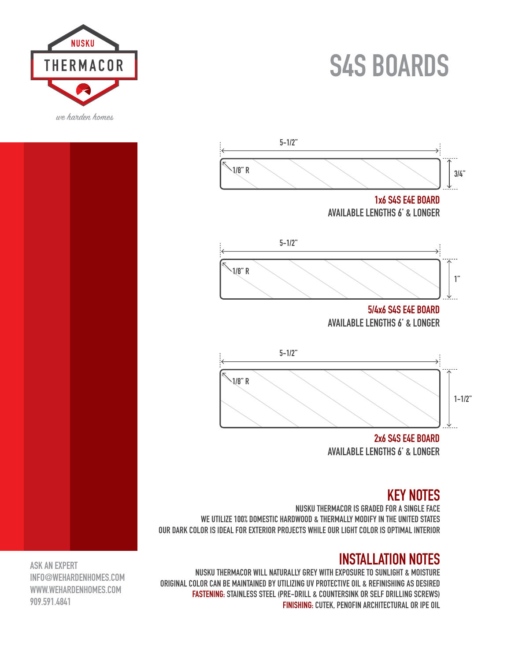## **S4S BOARDS**





**2x6 S4S E4E BOARD AVAILABLE LENGTHS 6' & LONGER**

#### **KEY NOTES**

**NUSKU THERMACOR IS GRADED FOR A SINGLE FACE WE UTILIZE 100% DOMESTIC HARDWOOD & THERMALLY MODIFY IN THE UNITED STATES OUR DARK COLOR IS IDEAL FOR EXTERIOR PROJECTS WHILE OUR LIGHT COLOR IS OPTIMAL INTERIOR**

### **INSTALLATION NOTES**

**NUSKU THERMACOR WILL NATURALLY GREY WITH EXPOSURE TO SUNLIGHT & MOISTURE ORIGINAL COLOR CAN BE MAINTAINED BY UTILIZING UV PROTECTIVE OIL & REFINISHING AS DESIRED FASTENING: STAINLESS STEEL (PRE-DRILL & COUNTERSINK OR SELF DRILLING SCREWS) FINISHING: CUTEK, PENOFIN ARCHITECTURAL OR IPE OIL**

**ASK AN EXPERT INFO@WEHARDENHOMES.COM WWW.WEHARDENHOMES.COM 909.591.4841**